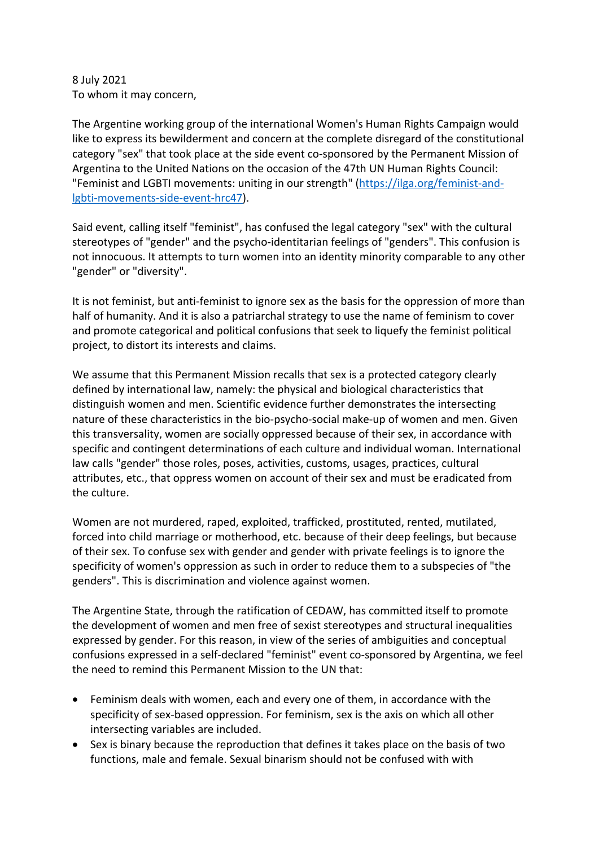8 July 2021 To whom it may concern,

The Argentine working group of the international Women's Human Rights Campaign would like to express its bewilderment and concern at the complete disregard of the constitutional category "sex" that took place at the side event co-sponsored by the Permanent Mission of Argentina to the United Nations on the occasion of the 47th UN Human Rights Council: "Feminist and LGBTI movements: uniting in our strength" (https://ilga.org/feminist-andlgbti-movements-side-event-hrc47).

Said event, calling itself "feminist", has confused the legal category "sex" with the cultural stereotypes of "gender" and the psycho-identitarian feelings of "genders". This confusion is not innocuous. It attempts to turn women into an identity minority comparable to any other "gender" or "diversity".

It is not feminist, but anti-feminist to ignore sex as the basis for the oppression of more than half of humanity. And it is also a patriarchal strategy to use the name of feminism to cover and promote categorical and political confusions that seek to liquefy the feminist political project, to distort its interests and claims.

We assume that this Permanent Mission recalls that sex is a protected category clearly defined by international law, namely: the physical and biological characteristics that distinguish women and men. Scientific evidence further demonstrates the intersecting nature of these characteristics in the bio-psycho-social make-up of women and men. Given this transversality, women are socially oppressed because of their sex, in accordance with specific and contingent determinations of each culture and individual woman. International law calls "gender" those roles, poses, activities, customs, usages, practices, cultural attributes, etc., that oppress women on account of their sex and must be eradicated from the culture.

Women are not murdered, raped, exploited, trafficked, prostituted, rented, mutilated, forced into child marriage or motherhood, etc. because of their deep feelings, but because of their sex. To confuse sex with gender and gender with private feelings is to ignore the specificity of women's oppression as such in order to reduce them to a subspecies of "the genders". This is discrimination and violence against women.

The Argentine State, through the ratification of CEDAW, has committed itself to promote the development of women and men free of sexist stereotypes and structural inequalities expressed by gender. For this reason, in view of the series of ambiguities and conceptual confusions expressed in a self-declared "feminist" event co-sponsored by Argentina, we feel the need to remind this Permanent Mission to the UN that:

- Feminism deals with women, each and every one of them, in accordance with the specificity of sex-based oppression. For feminism, sex is the axis on which all other intersecting variables are included.
- Sex is binary because the reproduction that defines it takes place on the basis of two functions, male and female. Sexual binarism should not be confused with with